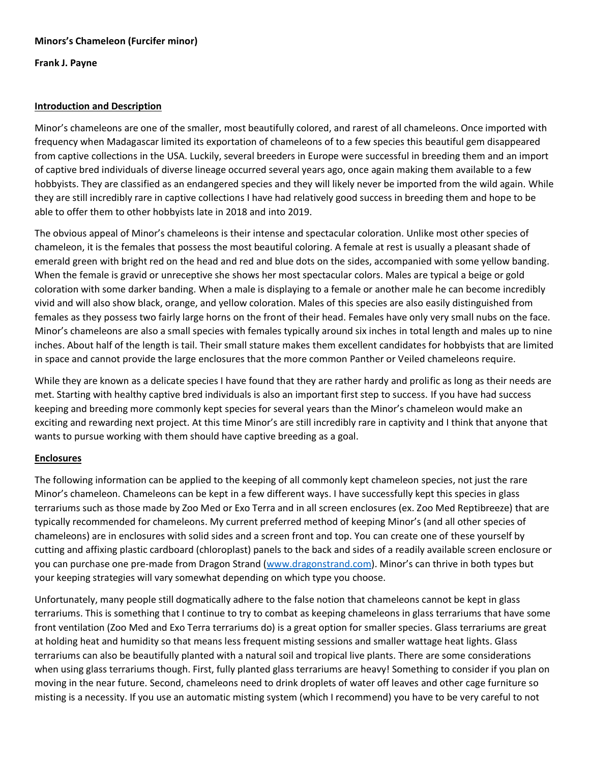**Frank J. Payne**

# **Introduction and Description**

Minor's chameleons are one of the smaller, most beautifully colored, and rarest of all chameleons. Once imported with frequency when Madagascar limited its exportation of chameleons of to a few species this beautiful gem disappeared from captive collections in the USA. Luckily, several breeders in Europe were successful in breeding them and an import of captive bred individuals of diverse lineage occurred several years ago, once again making them available to a few hobbyists. They are classified as an endangered species and they will likely never be imported from the wild again. While they are still incredibly rare in captive collections I have had relatively good success in breeding them and hope to be able to offer them to other hobbyists late in 2018 and into 2019.

The obvious appeal of Minor's chameleons is their intense and spectacular coloration. Unlike most other species of chameleon, it is the females that possess the most beautiful coloring. A female at rest is usually a pleasant shade of emerald green with bright red on the head and red and blue dots on the sides, accompanied with some yellow banding. When the female is gravid or unreceptive she shows her most spectacular colors. Males are typical a beige or gold coloration with some darker banding. When a male is displaying to a female or another male he can become incredibly vivid and will also show black, orange, and yellow coloration. Males of this species are also easily distinguished from females as they possess two fairly large horns on the front of their head. Females have only very small nubs on the face. Minor's chameleons are also a small species with females typically around six inches in total length and males up to nine inches. About half of the length is tail. Their small stature makes them excellent candidates for hobbyists that are limited in space and cannot provide the large enclosures that the more common Panther or Veiled chameleons require.

While they are known as a delicate species I have found that they are rather hardy and prolific as long as their needs are met. Starting with healthy captive bred individuals is also an important first step to success. If you have had success keeping and breeding more commonly kept species for several years than the Minor's chameleon would make an exciting and rewarding next project. At this time Minor's are still incredibly rare in captivity and I think that anyone that wants to pursue working with them should have captive breeding as a goal.

# **Enclosures**

The following information can be applied to the keeping of all commonly kept chameleon species, not just the rare Minor's chameleon. Chameleons can be kept in a few different ways. I have successfully kept this species in glass terrariums such as those made by Zoo Med or Exo Terra and in all screen enclosures (ex. Zoo Med Reptibreeze) that are typically recommended for chameleons. My current preferred method of keeping Minor's (and all other species of chameleons) are in enclosures with solid sides and a screen front and top. You can create one of these yourself by cutting and affixing plastic cardboard (chloroplast) panels to the back and sides of a readily available screen enclosure or you can purchase one pre-made from Dragon Strand [\(www.dragonstrand.com](http://www.dragonstrand.com/)). Minor's can thrive in both types but your keeping strategies will vary somewhat depending on which type you choose.

Unfortunately, many people still dogmatically adhere to the false notion that chameleons cannot be kept in glass terrariums. This is something that I continue to try to combat as keeping chameleons in glass terrariums that have some front ventilation (Zoo Med and Exo Terra terrariums do) is a great option for smaller species. Glass terrariums are great at holding heat and humidity so that means less frequent misting sessions and smaller wattage heat lights. Glass terrariums can also be beautifully planted with a natural soil and tropical live plants. There are some considerations when using glass terrariums though. First, fully planted glass terrariums are heavy! Something to consider if you plan on moving in the near future. Second, chameleons need to drink droplets of water off leaves and other cage furniture so misting is a necessity. If you use an automatic misting system (which I recommend) you have to be very careful to not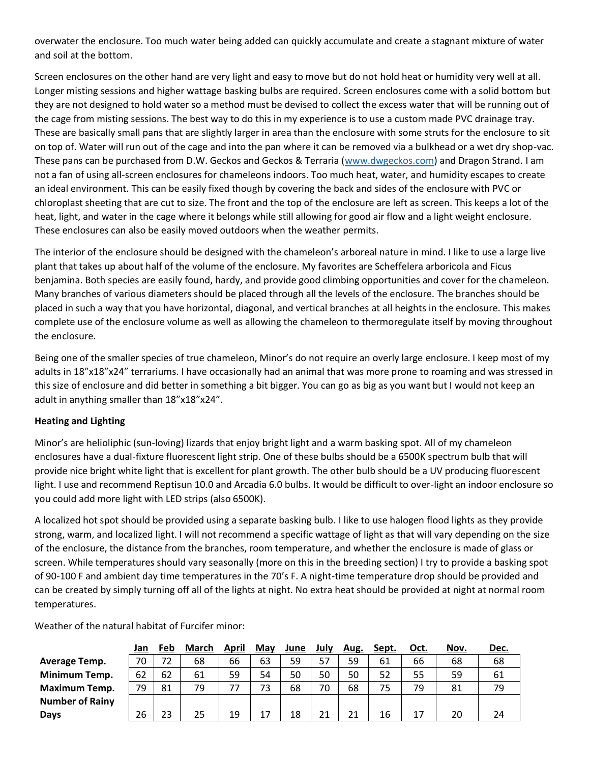overwater the enclosure. Too much water being added can quickly accumulate and create a stagnant mixture of water and soil at the bottom.

Screen enclosures on the other hand are very light and easy to move but do not hold heat or humidity very well at all. Longer misting sessions and higher wattage basking bulbs are required. Screen enclosures come with a solid bottom but they are not designed to hold water so a method must be devised to collect the excess water that will be running out of the cage from misting sessions. The best way to do this in my experience is to use a custom made PVC drainage tray. These are basically small pans that are slightly larger in area than the enclosure with some struts for the enclosure to sit on top of. Water will run out of the cage and into the pan where it can be removed via a bulkhead or a wet dry shop-vac. These pans can be purchased from D.W. Geckos and Geckos & Terraria [\(www.dwgeckos.com\)](http://www.dwgeckos.com/) and Dragon Strand. I am not a fan of using all-screen enclosures for chameleons indoors. Too much heat, water, and humidity escapes to create an ideal environment. This can be easily fixed though by covering the back and sides of the enclosure with PVC or chloroplast sheeting that are cut to size. The front and the top of the enclosure are left as screen. This keeps a lot of the heat, light, and water in the cage where it belongs while still allowing for good air flow and a light weight enclosure. These enclosures can also be easily moved outdoors when the weather permits.

The interior of the enclosure should be designed with the chameleon's arboreal nature in mind. I like to use a large live plant that takes up about half of the volume of the enclosure. My favorites are Scheffelera arboricola and Ficus benjamina. Both species are easily found, hardy, and provide good climbing opportunities and cover for the chameleon. Many branches of various diameters should be placed through all the levels of the enclosure. The branches should be placed in such a way that you have horizontal, diagonal, and vertical branches at all heights in the enclosure. This makes complete use of the enclosure volume as well as allowing the chameleon to thermoregulate itself by moving throughout the enclosure.

Being one of the smaller species of true chameleon, Minor's do not require an overly large enclosure. I keep most of my adults in 18"x18"x24" terrariums. I have occasionally had an animal that was more prone to roaming and was stressed in this size of enclosure and did better in something a bit bigger. You can go as big as you want but I would not keep an adult in anything smaller than 18"x18"x24".

# **Heating and Lighting**

Minor's are helioliphic (sun-loving) lizards that enjoy bright light and a warm basking spot. All of my chameleon enclosures have a dual-fixture fluorescent light strip. One of these bulbs should be a 6500K spectrum bulb that will provide nice bright white light that is excellent for plant growth. The other bulb should be a UV producing fluorescent light. I use and recommend Reptisun 10.0 and Arcadia 6.0 bulbs. It would be difficult to over-light an indoor enclosure so you could add more light with LED strips (also 6500K).

A localized hot spot should be provided using a separate basking bulb. I like to use halogen flood lights as they provide strong, warm, and localized light. I will not recommend a specific wattage of light as that will vary depending on the size of the enclosure, the distance from the branches, room temperature, and whether the enclosure is made of glass or screen. While temperatures should vary seasonally (more on this in the breeding section) I try to provide a basking spot of 90-100 F and ambient day time temperatures in the 70's F. A night-time temperature drop should be provided and can be created by simply turning off all of the lights at night. No extra heat should be provided at night at normal room temperatures.

|                        | <u>Jan</u> | <b>Feb</b> | <b>March</b> | April | May | June | July | Aug. | Sept. | Oct. | Nov. | <u>Dec.</u> |
|------------------------|------------|------------|--------------|-------|-----|------|------|------|-------|------|------|-------------|
| Average Temp.          | 70         | 72         | 68           | 66    | 63  | 59   | 57   | 59   | 61    | 66   | 68   | 68          |
| Minimum Temp.          | 62         | 62         | 61           | 59    | 54  | 50   | 50   | 50   | 52    | 55   | 59   | 61          |
| Maximum Temp.          | 79         | 81         | 79           | 77    | 73  | 68   | 70   | 68   | 75    | 79   | 81   | 79          |
| <b>Number of Rainy</b> |            |            |              |       |     |      |      |      |       |      |      |             |
| Days                   | 26         | 23         | 25           | 19    | 17  | 18   | 21   | 21   | 16    | 17   | 20   | 24          |

Weather of the natural habitat of Furcifer minor: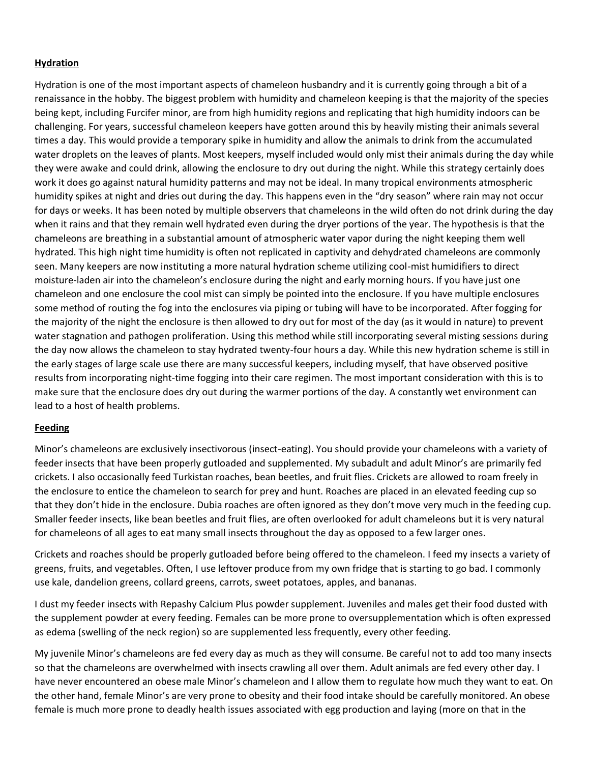# **Hydration**

Hydration is one of the most important aspects of chameleon husbandry and it is currently going through a bit of a renaissance in the hobby. The biggest problem with humidity and chameleon keeping is that the majority of the species being kept, including Furcifer minor, are from high humidity regions and replicating that high humidity indoors can be challenging. For years, successful chameleon keepers have gotten around this by heavily misting their animals several times a day. This would provide a temporary spike in humidity and allow the animals to drink from the accumulated water droplets on the leaves of plants. Most keepers, myself included would only mist their animals during the day while they were awake and could drink, allowing the enclosure to dry out during the night. While this strategy certainly does work it does go against natural humidity patterns and may not be ideal. In many tropical environments atmospheric humidity spikes at night and dries out during the day. This happens even in the "dry season" where rain may not occur for days or weeks. It has been noted by multiple observers that chameleons in the wild often do not drink during the day when it rains and that they remain well hydrated even during the dryer portions of the year. The hypothesis is that the chameleons are breathing in a substantial amount of atmospheric water vapor during the night keeping them well hydrated. This high night time humidity is often not replicated in captivity and dehydrated chameleons are commonly seen. Many keepers are now instituting a more natural hydration scheme utilizing cool-mist humidifiers to direct moisture-laden air into the chameleon's enclosure during the night and early morning hours. If you have just one chameleon and one enclosure the cool mist can simply be pointed into the enclosure. If you have multiple enclosures some method of routing the fog into the enclosures via piping or tubing will have to be incorporated. After fogging for the majority of the night the enclosure is then allowed to dry out for most of the day (as it would in nature) to prevent water stagnation and pathogen proliferation. Using this method while still incorporating several misting sessions during the day now allows the chameleon to stay hydrated twenty-four hours a day. While this new hydration scheme is still in the early stages of large scale use there are many successful keepers, including myself, that have observed positive results from incorporating night-time fogging into their care regimen. The most important consideration with this is to make sure that the enclosure does dry out during the warmer portions of the day. A constantly wet environment can lead to a host of health problems.

### **Feeding**

Minor's chameleons are exclusively insectivorous (insect-eating). You should provide your chameleons with a variety of feeder insects that have been properly gutloaded and supplemented. My subadult and adult Minor's are primarily fed crickets. I also occasionally feed Turkistan roaches, bean beetles, and fruit flies. Crickets are allowed to roam freely in the enclosure to entice the chameleon to search for prey and hunt. Roaches are placed in an elevated feeding cup so that they don't hide in the enclosure. Dubia roaches are often ignored as they don't move very much in the feeding cup. Smaller feeder insects, like bean beetles and fruit flies, are often overlooked for adult chameleons but it is very natural for chameleons of all ages to eat many small insects throughout the day as opposed to a few larger ones.

Crickets and roaches should be properly gutloaded before being offered to the chameleon. I feed my insects a variety of greens, fruits, and vegetables. Often, I use leftover produce from my own fridge that is starting to go bad. I commonly use kale, dandelion greens, collard greens, carrots, sweet potatoes, apples, and bananas.

I dust my feeder insects with Repashy Calcium Plus powder supplement. Juveniles and males get their food dusted with the supplement powder at every feeding. Females can be more prone to oversupplementation which is often expressed as edema (swelling of the neck region) so are supplemented less frequently, every other feeding.

My juvenile Minor's chameleons are fed every day as much as they will consume. Be careful not to add too many insects so that the chameleons are overwhelmed with insects crawling all over them. Adult animals are fed every other day. I have never encountered an obese male Minor's chameleon and I allow them to regulate how much they want to eat. On the other hand, female Minor's are very prone to obesity and their food intake should be carefully monitored. An obese female is much more prone to deadly health issues associated with egg production and laying (more on that in the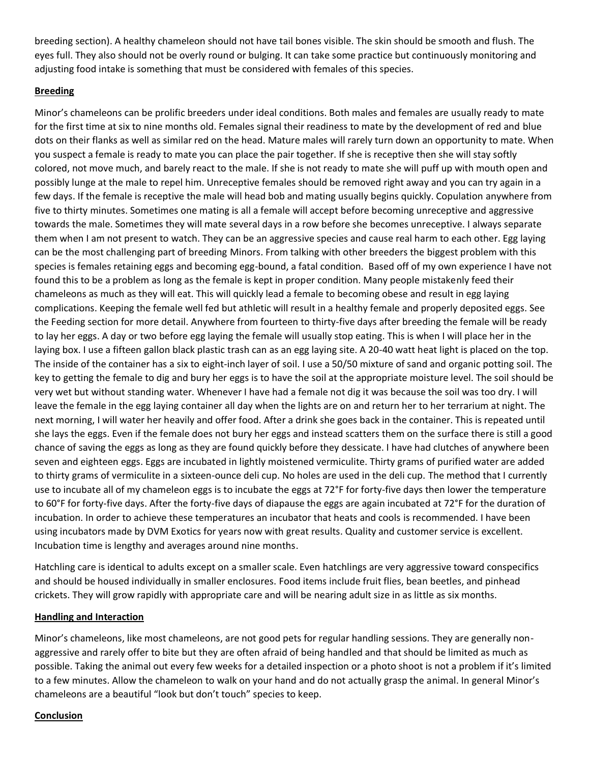breeding section). A healthy chameleon should not have tail bones visible. The skin should be smooth and flush. The eyes full. They also should not be overly round or bulging. It can take some practice but continuously monitoring and adjusting food intake is something that must be considered with females of this species.

### **Breeding**

Minor's chameleons can be prolific breeders under ideal conditions. Both males and females are usually ready to mate for the first time at six to nine months old. Females signal their readiness to mate by the development of red and blue dots on their flanks as well as similar red on the head. Mature males will rarely turn down an opportunity to mate. When you suspect a female is ready to mate you can place the pair together. If she is receptive then she will stay softly colored, not move much, and barely react to the male. If she is not ready to mate she will puff up with mouth open and possibly lunge at the male to repel him. Unreceptive females should be removed right away and you can try again in a few days. If the female is receptive the male will head bob and mating usually begins quickly. Copulation anywhere from five to thirty minutes. Sometimes one mating is all a female will accept before becoming unreceptive and aggressive towards the male. Sometimes they will mate several days in a row before she becomes unreceptive. I always separate them when I am not present to watch. They can be an aggressive species and cause real harm to each other. Egg laying can be the most challenging part of breeding Minors. From talking with other breeders the biggest problem with this species is females retaining eggs and becoming egg-bound, a fatal condition. Based off of my own experience I have not found this to be a problem as long as the female is kept in proper condition. Many people mistakenly feed their chameleons as much as they will eat. This will quickly lead a female to becoming obese and result in egg laying complications. Keeping the female well fed but athletic will result in a healthy female and properly deposited eggs. See the Feeding section for more detail. Anywhere from fourteen to thirty-five days after breeding the female will be ready to lay her eggs. A day or two before egg laying the female will usually stop eating. This is when I will place her in the laying box. I use a fifteen gallon black plastic trash can as an egg laying site. A 20-40 watt heat light is placed on the top. The inside of the container has a six to eight-inch layer of soil. I use a 50/50 mixture of sand and organic potting soil. The key to getting the female to dig and bury her eggs is to have the soil at the appropriate moisture level. The soil should be very wet but without standing water. Whenever I have had a female not dig it was because the soil was too dry. I will leave the female in the egg laying container all day when the lights are on and return her to her terrarium at night. The next morning, I will water her heavily and offer food. After a drink she goes back in the container. This is repeated until she lays the eggs. Even if the female does not bury her eggs and instead scatters them on the surface there is still a good chance of saving the eggs as long as they are found quickly before they dessicate. I have had clutches of anywhere been seven and eighteen eggs. Eggs are incubated in lightly moistened vermiculite. Thirty grams of purified water are added to thirty grams of vermiculite in a sixteen-ounce deli cup. No holes are used in the deli cup. The method that I currently use to incubate all of my chameleon eggs is to incubate the eggs at 72°F for forty-five days then lower the temperature to 60°F for forty-five days. After the forty-five days of diapause the eggs are again incubated at 72°F for the duration of incubation. In order to achieve these temperatures an incubator that heats and cools is recommended. I have been using incubators made by DVM Exotics for years now with great results. Quality and customer service is excellent. Incubation time is lengthy and averages around nine months.

Hatchling care is identical to adults except on a smaller scale. Even hatchlings are very aggressive toward conspecifics and should be housed individually in smaller enclosures. Food items include fruit flies, bean beetles, and pinhead crickets. They will grow rapidly with appropriate care and will be nearing adult size in as little as six months.

### **Handling and Interaction**

Minor's chameleons, like most chameleons, are not good pets for regular handling sessions. They are generally nonaggressive and rarely offer to bite but they are often afraid of being handled and that should be limited as much as possible. Taking the animal out every few weeks for a detailed inspection or a photo shoot is not a problem if it's limited to a few minutes. Allow the chameleon to walk on your hand and do not actually grasp the animal. In general Minor's chameleons are a beautiful "look but don't touch" species to keep.

#### **Conclusion**